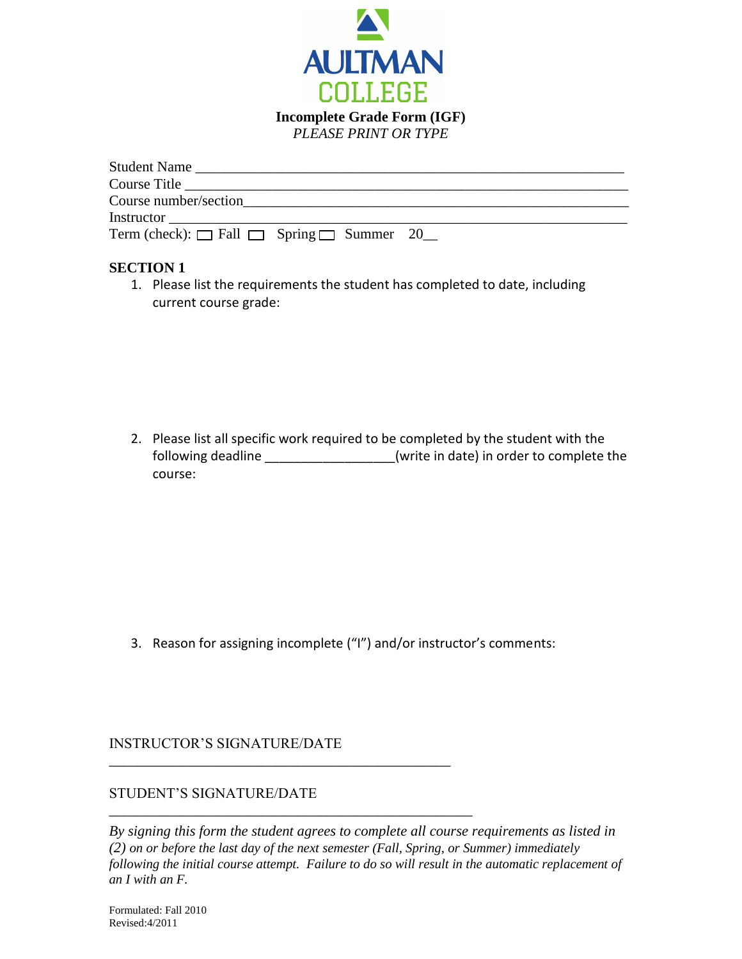

| Student Name                                             |  |
|----------------------------------------------------------|--|
| Course Title                                             |  |
| Course number/section                                    |  |
|                                                          |  |
| Term (check): $\Box$ Fall $\Box$ Spring $\Box$ Summer 20 |  |
|                                                          |  |

### **SECTION 1**

1. Please list the requirements the student has completed to date, including current course grade:

2. Please list all specific work required to be completed by the student with the following deadline \_\_\_\_\_\_\_\_\_\_\_\_\_\_\_\_\_(write in date) in order to complete the course:

3. Reason for assigning incomplete ("I") and/or instructor's comments:

INSTRUCTOR'S SIGNATURE/DATE

\_\_\_\_\_\_\_\_\_\_\_\_\_\_\_\_\_\_\_\_\_\_\_\_\_\_\_\_\_\_\_\_\_\_\_\_\_\_\_\_\_\_\_\_\_\_\_

\_\_\_\_\_\_\_\_\_\_\_\_\_\_\_\_\_\_\_\_\_\_\_\_\_\_\_\_\_\_\_\_\_\_\_\_\_\_\_\_\_\_\_\_\_\_\_\_\_\_

## STUDENT'S SIGNATURE/DATE

*By signing this form the student agrees to complete all course requirements as listed in (2) on or before the last day of the next semester (Fall, Spring, or Summer) immediately following the initial course attempt. Failure to do so will result in the automatic replacement of an I with an F.*